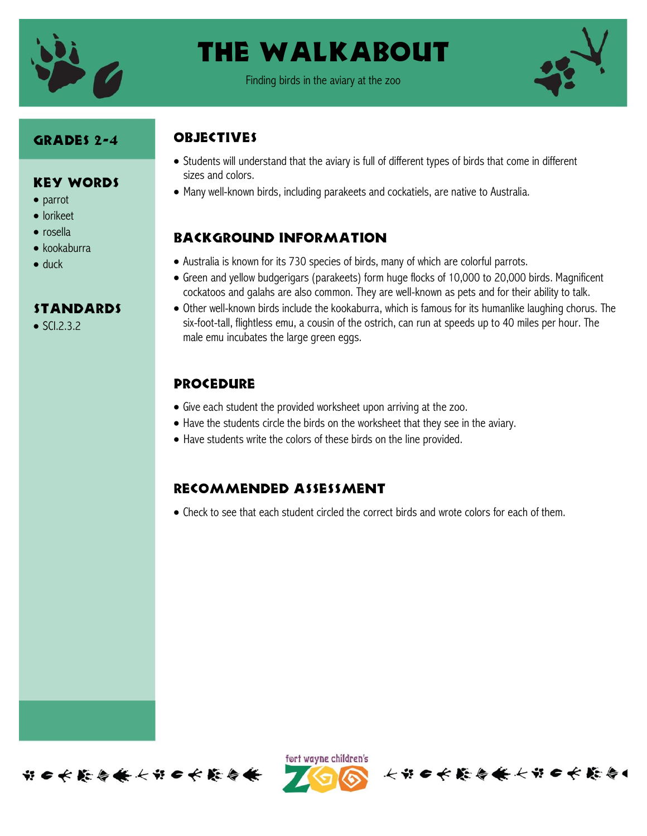

## The Walkabout

Finding birds in the aviary at the zoo



#### Grades 2-4

Key Words

**STANDARDS** 

• parrot lorikeet • rosella kookaburra

duck

 $\bullet$  SCI.2.3.2

### **OBJECTIVES**

- Students will understand that the aviary is full of different types of birds that come in different sizes and colors.
- Many well-known birds, including parakeets and cockatiels, are native to Australia.

### Background information

- Australia is known for its 730 species of birds, many of which are colorful parrots.
- Green and yellow budgerigars (parakeets) form huge flocks of 10,000 to 20,000 birds. Magnificent cockatoos and galahs are also common. They are well-known as pets and for their ability to talk.
- Other well-known birds include the kookaburra, which is famous for its humanlike laughing chorus. The six-foot-tall, flightless emu, a cousin of the ostrich, can run at speeds up to 40 miles per hour. The male emu incubates the large green eggs.

### **PROCEDURE**

- Give each student the provided worksheet upon arriving at the zoo.
- Have the students circle the birds on the worksheet that they see in the aviary.
- Have students write the colors of these birds on the line provided.

### Recommended assessment

Check to see that each student circled the correct birds and wrote colors for each of them.





长节 6 长 能 每 长 长 节 6 长 能 每 4